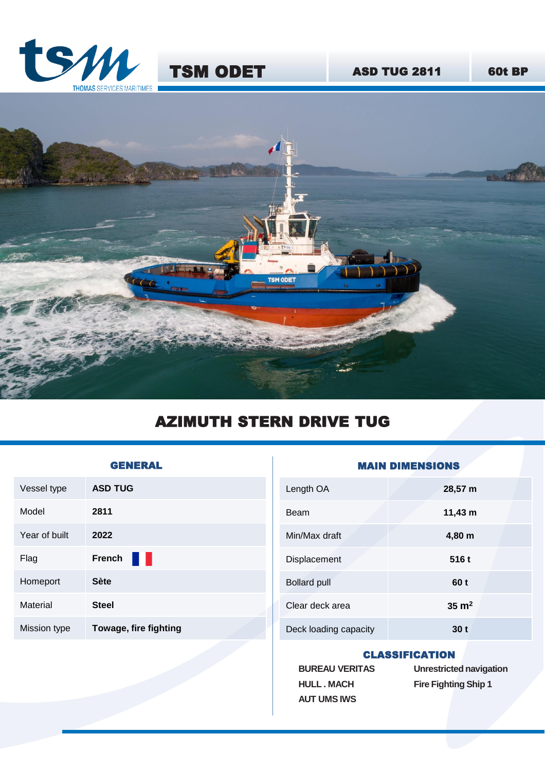



## AZIMUTH STERN DRIVE TUG

| <b>GENERAL</b> |                       |  |
|----------------|-----------------------|--|
| Vessel type    | <b>ASD TUG</b>        |  |
| Model          | 2811                  |  |
| Year of built  | 2022                  |  |
| Flag           | <b>French</b>         |  |
| Homeport       | <b>Sète</b>           |  |
| Material       | <b>Steel</b>          |  |
| Mission type   | Towage, fire fighting |  |
|                |                       |  |

| Length OA             | 28,57 m          |  |
|-----------------------|------------------|--|
| Beam                  | $11,43 \; m$     |  |
| Min/Max draft         | 4,80 m           |  |
| Displacement          | 516 t            |  |
| <b>Bollard pull</b>   | 60 t             |  |
| Clear deck area       | $35 \text{ m}^2$ |  |
| Deck loading capacity | 30 t             |  |

**AIN DIMENSIONS** 

## CLASSIFICATION

**BUREAU VERITAS HULL . MACH AUT UMS IWS**

**Unrestricted navigation Fire Fighting Ship 1**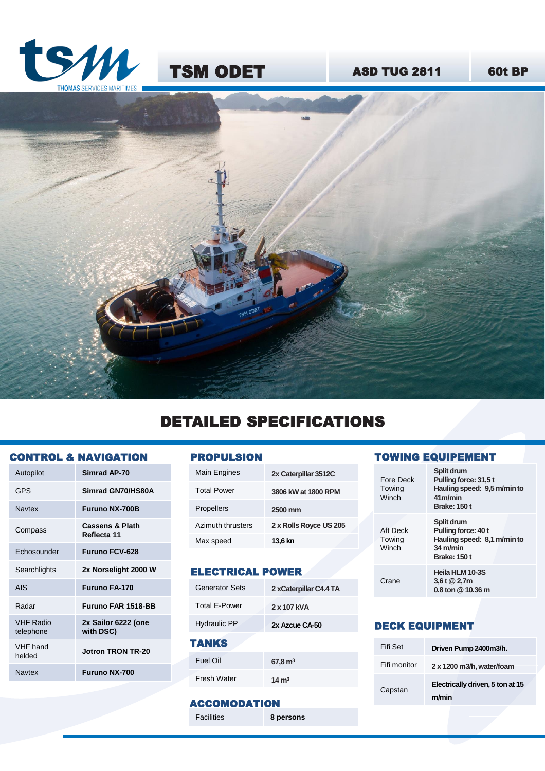





# DETAILED SPECIFICATIONS

#### CONTROL & NAVIGATION

| Autopilot                     | Simrad AP-70                              |
|-------------------------------|-------------------------------------------|
| <b>GPS</b>                    | Simrad GN70/HS80A                         |
| Navtex                        | <b>Furuno NX-700B</b>                     |
| Compass                       | <b>Cassens &amp; Plath</b><br>Reflecta 11 |
| Echosounder                   | <b>Furuno FCV-628</b>                     |
| Searchlights                  | 2x Norselight 2000 W                      |
| <b>AIS</b>                    | Furuno FA-170                             |
| Radar                         | <b>Furuno FAR 1518-BB</b>                 |
| <b>VHF Radio</b><br>telephone | 2x Sailor 6222 (one<br>with DSC)          |
| VHF hand<br>helded            | Jotron TRON TR-20                         |
| <b>Navtex</b>                 | <b>Furuno NX-700</b>                      |
|                               |                                           |

#### PROPULSION

| Main Engines       | 2x Caterpillar 3512C   |
|--------------------|------------------------|
| <b>Total Power</b> | 3806 kW at 1800 RPM    |
| <b>Propellers</b>  | 2500 mm                |
| Azimuth thrusters  | 2 x Rolls Royce US 205 |
| Max speed          | 13,6 kn                |
|                    |                        |

## ELECTRICAL POWER

| <b>Generator Sets</b> | 2 xCaterpillar C4.4 TA |
|-----------------------|------------------------|
| Total F-Power         | 2 x 107 kVA            |
| <b>Hydraulic PP</b>   | 2x Azcue CA-50         |
| TANKS                 |                        |
| Fuel Oil              | 67,8 m <sup>3</sup>    |
| Fresh Water           |                        |

## ACCOMODATION

Facilities **8 persons**

#### TOWING EQUIPEMENT

| Fore Deck<br>Towina<br>Winch | Split drum<br>Pulling force: 31,5 t<br>Hauling speed: 9,5 m/min to<br>41m/min<br><b>Brake: 150 t</b> |
|------------------------------|------------------------------------------------------------------------------------------------------|
| Aft Deck<br>Towing<br>Winch  | Split drum<br>Pulling force: 40 t<br>Hauling speed: 8,1 m/min to<br>34 m/min<br><b>Brake: 150 t</b>  |
| Crane                        | Heila HLM 10-3S<br>3,6t @ 2,7m<br>0.8 ton @ 10.36 m                                                  |

#### DECK EQUIPMENT

| Fifi Set     | Driven Pump 2400m3/h.            |
|--------------|----------------------------------|
| Fifi monitor | 2 x 1200 m3/h, water/foam        |
| Capstan      | Electrically driven, 5 ton at 15 |
|              | m/min                            |